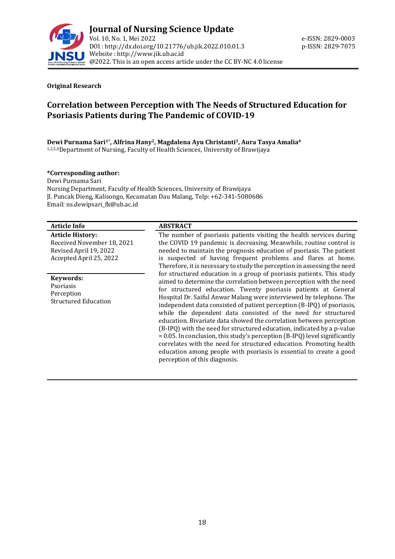

#### **Original Research**

# **Correlation between Perception with The Needs of Structured Education for Psoriasis Patients during The Pandemic of COVID-19**

**Dewi Purnama Sari1\* , Alfrina Hany2, Magdalena Ayu Christanti3, Aura Tasya Amalia<sup>4</sup>** 1,2,3,4Department of Nursing, Faculty of Health Sciences, University of Brawijaya

#### **\*Corresponding author:**

Dewi Purnama Sari Nursing Department, Faculty of Health Sciences, University of Brawijaya Jl. Puncak Dieng, Kalisongo, Kecamatan Dau Malang, Telp: +62-341-5080686 Email[: ns.dewipsari\\_fk@ub.ac.id](mailto:ns.dewipsari_fk@ub.ac.id)

| <b>Article Info</b>                                                                                        | <b>ABSTRACT</b>                                                                                                                                                                                                                                                                                                                                                                                                                                                                                                                                                                                                                                                                                                                                                                                                                                |
|------------------------------------------------------------------------------------------------------------|------------------------------------------------------------------------------------------------------------------------------------------------------------------------------------------------------------------------------------------------------------------------------------------------------------------------------------------------------------------------------------------------------------------------------------------------------------------------------------------------------------------------------------------------------------------------------------------------------------------------------------------------------------------------------------------------------------------------------------------------------------------------------------------------------------------------------------------------|
| <b>Article History:</b><br>Received November 18, 2021<br>Revised April 19, 2022<br>Accepted April 25, 2022 | The number of psoriasis patients visiting the health services during<br>the COVID 19 pandemic is decreasing. Meanwhile, routine control is<br>needed to maintain the prognosis education of psoriasis. The patient<br>is suspected of having frequent problems and flares at home.<br>Therefore, it is necessary to study the perception in assessing the need                                                                                                                                                                                                                                                                                                                                                                                                                                                                                 |
| Keywords:<br>Psoriasis<br>Perception<br><b>Structured Education</b>                                        | for structured education in a group of psoriasis patients. This study<br>aimed to determine the correlation between perception with the need<br>for structured education. Twenty psoriasis patients at General<br>Hospital Dr. Saiful Anwar Malang were interviewed by telephone. The<br>independent data consisted of patient perception (B-IPQ) of psoriasis,<br>while the dependent data consisted of the need for structured<br>education. Bivariate data showed the correlation between perception<br>(B-IPQ) with the need for structured education, indicated by a p-value<br>= 0.05. In conclusion, this study's perception (B-IPQ) level significantly<br>correlates with the need for structured education. Promoting health<br>education among people with psoriasis is essential to create a good<br>perception of this diagnosis. |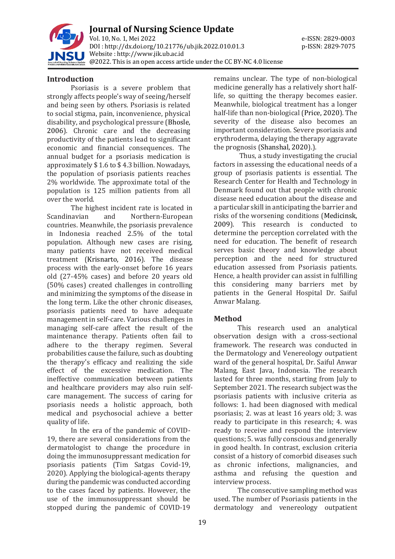

**Journal of Nursing Science Update** Vol. 10, No. 1, Mei 2022 e-ISSN: 2829-0003 DOI : [http://dx.doi.org/10.21776/ub.jik.2022.010.01.3](http://dx.doi.org/10.21776/ub.jik.2022.010.01) p-ISSN: 2829-7075 Website : http:/[/www.jik.ub.ac.id](http://www.jik.ub.ac.id/) @2022. This is an open access article under the CC BY-NC 4.0 license

#### **Introduction**

Psoriasis is a severe problem that strongly affects people's way of seeing/herself and being seen by others. Psoriasis is related to social stigma, pain, inconvenience, physical disability, and psychological pressure (Bhosle, 2006). Chronic care and the decreasing productivity of the patients lead to significant economic and financial consequences. The annual budget for a psoriasis medication is approximately \$ 1.6 to \$ 4.3 billion. Nowadays, the population of psoriasis patients reaches 2% worldwide. The approximate total of the population is 125 million patients from all over the world.

The highest incident rate is located in Scandinavian and Northern-European countries. Meanwhile, the psoriasis prevalence in Indonesia reached 2.5% of the total population. Although new cases are rising, many patients have not received medical treatment (Krisnarto, 2016). The disease process with the early-onset before 16 years old (27-45% cases) and before 20 years old (50% cases) created challenges in controlling and minimizing the symptoms of the disease in the long term. Like the other chronic diseases, psoriasis patients need to have adequate management in self-care. Various challenges in managing self-care affect the result of the maintenance therapy. Patients often fail to adhere to the therapy regimen. Several probabilities cause the failure, such as doubting the therapy's efficacy and realizing the side effect of the excessive medication. The ineffective communication between patients and healthcare providers may also ruin selfcare management. The success of caring for psoriasis needs a holistic approach, both medical and psychosocial achieve a better quality of life.

In the era of the pandemic of COVID-19, there are several considerations from the dermatologist to change the procedure in doing the immunosuppressant medication for psoriasis patients (Tim Satgas Covid-19, 2020). Applying the biological-agents therapy during the pandemic was conducted according to the cases faced by patients. However, the use of the immunosuppressant should be stopped during the pandemic of COVID-19

remains unclear. The type of non-biological medicine generally has a relatively short halflife, so quitting the therapy becomes easier. Meanwhile, biological treatment has a longer half-life than non-biological (Price, 2020). The severity of the disease also becomes an important consideration. Severe psoriasis and erythroderma, delaying the therapy aggravate the prognosis (Shanshal, 2020).).

Thus, a study investigating the crucial factors in assessing the educational needs of a group of psoriasis patients is essential. The Research Center for Health and Technology in Denmark found out that people with chronic disease need education about the disease and a particular skill in anticipating the barrier and risks of the worsening conditions (Medicinsk, 2009). This research is conducted to determine the perception correlated with the need for education. The benefit of research serves basic theory and knowledge about perception and the need for structured education assessed from Psoriasis patients. Hence, a health provider can assist in fulfilling this considering many barriers met by patients in the General Hospital Dr. Saiful Anwar Malang.

# **Method**

This research used an analytical observation design with a cross-sectional framework. The research was conducted in the Dermatology and Venereology outpatient ward of the general hospital, Dr. Saiful Anwar Malang, East Java, Indonesia. The research lasted for three months, starting from July to September 2021. The research subject was the psoriasis patients with inclusive criteria as follows: 1. had been diagnosed with medical psoriasis; 2. was at least 16 years old; 3. was ready to participate in this research; 4. was ready to receive and respond the interview questions; 5. was fully conscious and generally in good health. In contrast, exclusion criteria consist of a history of comorbid diseases such as chronic infections, malignancies, and asthma and refusing the question and interview process.

The consecutive sampling method was used. The number of Psoriasis patients in the dermatology and venereology outpatient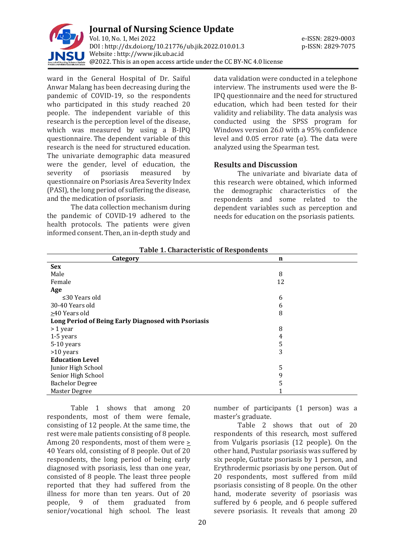

ward in the General Hospital of Dr. Saiful Anwar Malang has been decreasing during the pandemic of COVID-19, so the respondents who participated in this study reached 20 people. The independent variable of this research is the perception level of the disease, which was measured by using a B-IPQ questionnaire. The dependent variable of this research is the need for structured education. The univariate demographic data measured were the gender, level of education, the severity of psoriasis measured by questionnaire on Psoriasis Area Severity Index (PASI), the long period of suffering the disease, and the medication of psoriasis.

The data collection mechanism during the pandemic of COVID-19 adhered to the health protocols. The patients were given informed consent. Then, an in-depth study and

data validation were conducted in a telephone interview. The instruments used were the B-IPQ questionnaire and the need for structured education, which had been tested for their validity and reliability. The data analysis was conducted using the SPSS program for Windows version 26.0 with a 95% confidence level and 0.05 error rate (α). The data were analyzed using the Spearman test.

# **Results and Discussion**

The univariate and bivariate data of this research were obtained, which informed the demographic characteristics of the respondents and some related to the dependent variables such as perception and needs for education on the psoriasis patients.

| Category                                            | $\mathbf n$ |  |
|-----------------------------------------------------|-------------|--|
| <b>Sex</b>                                          |             |  |
| Male                                                | 8           |  |
| Female                                              | 12          |  |
| Age                                                 |             |  |
| $\leq$ 30 Years old                                 | 6           |  |
| 30-40 Years old                                     | 6           |  |
| $\geq$ 40 Years old                                 | 8           |  |
| Long Period of Being Early Diagnosed with Psoriasis |             |  |
| > 1 year                                            | 8           |  |
| 1-5 years                                           | 4           |  |
| 5-10 years                                          | 5           |  |
| >10 years                                           | 3           |  |
| <b>Education Level</b>                              |             |  |
| Junior High School                                  | 5           |  |
| Senior High School                                  | 9           |  |
| <b>Bachelor Degree</b>                              | 5           |  |
| Master Degree                                       |             |  |

**Table 1. Characteristic of Respondents**

Table 1 shows that among 20 respondents, most of them were female, consisting of 12 people. At the same time, the rest were male patients consisting of 8 people. Among 20 respondents, most of them were > 40 Years old, consisting of 8 people. Out of 20 respondents, the long period of being early diagnosed with psoriasis, less than one year, consisted of 8 people. The least three people reported that they had suffered from the illness for more than ten years. Out of 20 people, 9 of them graduated from senior/vocational high school. The least

number of participants (1 person) was a master's graduate.

Table 2 shows that out of 20 respondents of this research, most suffered from Vulgaris psoriasis (12 people). On the other hand, Pustular psoriasis was suffered by six people, Guttate psoriasis by 1 person, and Erythrodermic psoriasis by one person. Out of 20 respondents, most suffered from mild psoriasis consisting of 8 people. On the other hand, moderate severity of psoriasis was suffered by 6 people, and 6 people suffered severe psoriasis. It reveals that among 20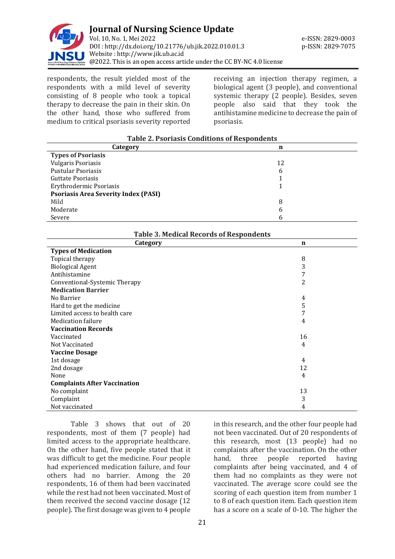

respondents, the result yielded most of the respondents with a mild level of severity consisting of 8 people who took a topical therapy to decrease the pain in their skin. On the other hand, those who suffered from medium to critical psoriasis severity reported receiving an injection therapy regimen, a biological agent (3 people), and conventional systemic therapy (2 people). Besides, seven people also said that they took the antihistamine medicine to decrease the pain of psoriasis.

| <b>Table 2. Psoriasis Conditions of Respondents</b> |    |  |
|-----------------------------------------------------|----|--|
| Category                                            | n  |  |
| <b>Types of Psoriasis</b>                           |    |  |
| <b>Vulgaris Psoriasis</b>                           | 12 |  |
| <b>Pustular Psoriasis</b>                           | 6  |  |
| Guttate Psoriasis                                   |    |  |
| Erythrodermic Psoriasis                             |    |  |
| <b>Psoriasis Area Severity Index (PASI)</b>         |    |  |
| Mild                                                | 8  |  |
| Moderate                                            | b  |  |
| Severe                                              |    |  |
|                                                     |    |  |

| <b>Table 3. Medical Records of Respondents</b> |
|------------------------------------------------|
| $\sim$ $\sim$ $\sim$                           |

| Category                            | $\mathbf n$ |  |
|-------------------------------------|-------------|--|
| <b>Types of Medication</b>          |             |  |
| Topical therapy                     | 8           |  |
| <b>Biological Agent</b>             | 3           |  |
| Antihistamine                       | 7           |  |
| Conventional-Systemic Therapy       | 2           |  |
| <b>Medication Barrier</b>           |             |  |
| No Barrier                          | 4           |  |
| Hard to get the medicine            | 5           |  |
| Limited access to health care       | 7           |  |
| <b>Medication failure</b>           | 4           |  |
| <b>Vaccination Records</b>          |             |  |
| Vaccinated                          | 16          |  |
| Not Vaccinated                      | 4           |  |
| <b>Vaccine Dosage</b>               |             |  |
| 1st dosage                          | 4           |  |
| 2nd dosage                          | 12          |  |
| None                                | 4           |  |
| <b>Complaints After Vaccination</b> |             |  |
| No complaint                        | 13          |  |
| Complaint                           | 3           |  |
| Not vaccinated                      | 4           |  |

Table 3 shows that out of 20 respondents, most of them (7 people) had limited access to the appropriate healthcare. On the other hand, five people stated that it was difficult to get the medicine. Four people had experienced medication failure, and four others had no barrier. Among the 20 respondents, 16 of them had been vaccinated while the rest had not been vaccinated. Most of them received the second vaccine dosage (12 people). The first dosage was given to 4 people

in this research, and the other four people had not been vaccinated. Out of 20 respondents of this research, most (13 people) had no complaints after the vaccination. On the other hand, three people reported having complaints after being vaccinated, and 4 of them had no complaints as they were not vaccinated. The average score could see the scoring of each question item from number 1 to 8 of each question item. Each question item has a score on a scale of 0-10. The higher the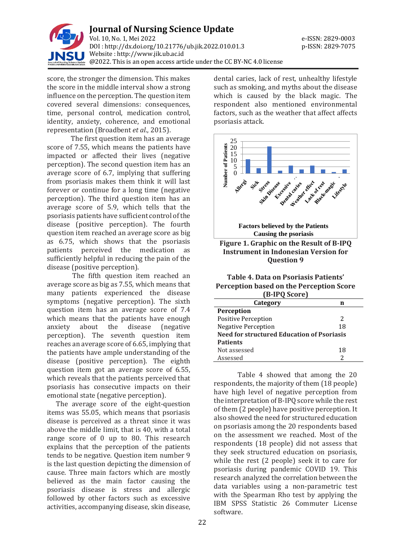

score, the stronger the dimension. This makes the score in the middle interval show a strong influence on the perception. The question item covered several dimensions: consequences, time, personal control, medication control, identity, anxiety, coherence, and emotional representation (Broadbent *et al*., 2015).

The first question item has an average score of 7.55, which means the patients have impacted or affected their lives (negative perception). The second question item has an average score of 6.7, implying that suffering from psoriasis makes them think it will last forever or continue for a long time (negative perception). The third question item has an average score of 5.9, which tells that the psoriasis patients have sufficient control of the disease (positive perception). The fourth question item reached an average score as big as 6.75, which shows that the psoriasis patients perceived the medication as sufficiently helpful in reducing the pain of the disease (positive perception).

The fifth question item reached an average score as big as 7.55, which means that many patients experienced the disease symptoms (negative perception). The sixth question item has an average score of 7.4 which means that the patients have enough anxiety about the disease (negative perception). The seventh question item reaches an average score of 6.65, implying that the patients have ample understanding of the disease (positive perception). The eighth question item got an average score of 6.55, which reveals that the patients perceived that psoriasis has consecutive impacts on their emotional state (negative perception).

The average score of the eight-question items was 55.05, which means that psoriasis disease is perceived as a threat since it was above the middle limit, that is 40, with a total range score of 0 up to 80. This research explains that the perception of the patients tends to be negative. Question item number 9 is the last question depicting the dimension of cause. Three main factors which are mostly believed as the main factor causing the psoriasis disease is stress and allergic followed by other factors such as excessive activities, accompanying disease, skin disease,

dental caries, lack of rest, unhealthy lifestyle such as smoking, and myths about the disease which is caused by the black magic. The respondent also mentioned environmental factors, such as the weather that affect affects psoriasis attack.



**Table 4. Data on Psoriasis Patients' Perception based on the Perception Score (B-IPQ Score)**

| I D-IFV SCOLET                             |    |  |
|--------------------------------------------|----|--|
| Category                                   | n  |  |
| <b>Perception</b>                          |    |  |
| <b>Positive Perception</b>                 | 2  |  |
| <b>Negative Perception</b>                 | 18 |  |
| Need for structured Education of Psoriasis |    |  |
| <b>Patients</b>                            |    |  |
| Not assessed                               | 18 |  |
| Assessed                                   |    |  |

Table 4 showed that among the 20 respondents, the majority of them (18 people) have high level of negative perception from the interpretation of B-IPQ score while the rest of them (2 people) have positive perception. It also showed the need for structured education on psoriasis among the 20 respondents based on the assessment we reached. Most of the respondents (18 people) did not assess that they seek structured education on psoriasis, while the rest (2 people) seek it to care for psoriasis during pandemic COVID 19. This research analyzed the correlation between the data variables using a non-parametric test with the Spearman Rho test by applying the IBM SPSS Statistic 26 Commuter License software.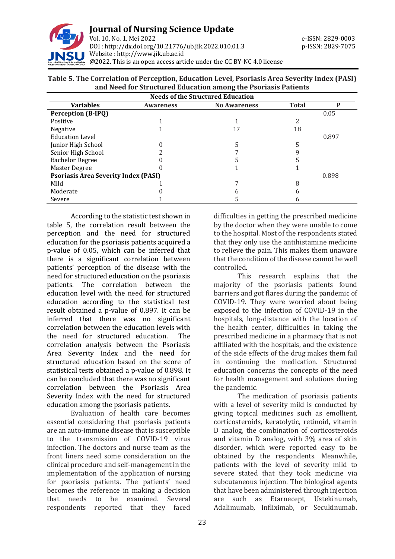

## **Table 5. The Correlation of Perception, Education Level, Psoriasis Area Severity Index (PASI) and Need for Structured Education among the Psoriasis Patients**

| <b>Needs of the Structured Education</b>    |                  |                     |              |       |
|---------------------------------------------|------------------|---------------------|--------------|-------|
| <b>Variables</b>                            | <b>Awareness</b> | <b>No Awareness</b> | <b>Total</b> | D     |
| <b>Perception (B-IPQ)</b>                   |                  |                     |              | 0.05  |
| Positive                                    |                  |                     |              |       |
| Negative                                    |                  |                     | 18           |       |
| <b>Education Level</b>                      |                  |                     |              | 0.897 |
| Junior High School                          |                  |                     |              |       |
| Senior High School                          |                  |                     | 9            |       |
| <b>Bachelor Degree</b>                      |                  |                     |              |       |
| Master Degree                               |                  |                     |              |       |
| <b>Psoriasis Area Severity Index (PASI)</b> |                  |                     | 0.898        |       |
| Mild                                        |                  |                     | 8            |       |
| Moderate                                    |                  |                     | n            |       |
| Severe                                      |                  |                     |              |       |

According to the statistic test shown in table 5, the correlation result between the perception and the need for structured education for the psoriasis patients acquired a p-value of 0.05, which can be inferred that there is a significant correlation between patients' perception of the disease with the need for structured education on the psoriasis patients. The correlation between the education level with the need for structured education according to the statistical test result obtained a p-value of 0,897. It can be inferred that there was no significant correlation between the education levels with the need for structured education. The correlation analysis between the Psoriasis Area Severity Index and the need for structured education based on the score of statistical tests obtained a p-value of 0.898. It can be concluded that there was no significant correlation between the Psoriasis Area Severity Index with the need for structured education among the psoriasis patients.

Evaluation of health care becomes essential considering that psoriasis patients are an auto-immune disease that is susceptible to the transmission of COVID-19 virus infection. The doctors and nurse team as the front liners need some consideration on the clinical procedure and self-management in the implementation of the application of nursing for psoriasis patients. The patients' need becomes the reference in making a decision that needs to be examined. Several respondents reported that they faced

difficulties in getting the prescribed medicine by the doctor when they were unable to come to the hospital. Most of the respondents stated that they only use the antihistamine medicine to relieve the pain. This makes them unaware that the condition of the disease cannot be well controlled.

This research explains that the majority of the psoriasis patients found barriers and got flares during the pandemic of COVID-19. They were worried about being exposed to the infection of COVID-19 in the hospitals, long-distance with the location of the health center, difficulties in taking the prescribed medicine in a pharmacy that is not affiliated with the hospitals, and the existence of the side effects of the drug makes them fail in continuing the medication. Structured education concerns the concepts of the need for health management and solutions during the pandemic.

The medication of psoriasis patients with a level of severity mild is conducted by giving topical medicines such as emollient, corticosteroids, keratolytic, retinoid, vitamin D analog, the combination of corticosteroids and vitamin D analog, with 3% area of skin disorder, which were reported easy to be obtained by the respondents. Meanwhile, patients with the level of severity mild to severe stated that they took medicine via subcutaneous injection. The biological agents that have been administered through injection are such as Etarnecept, Ustekinumab, Adalimumab, Infliximab, or Secukinumab.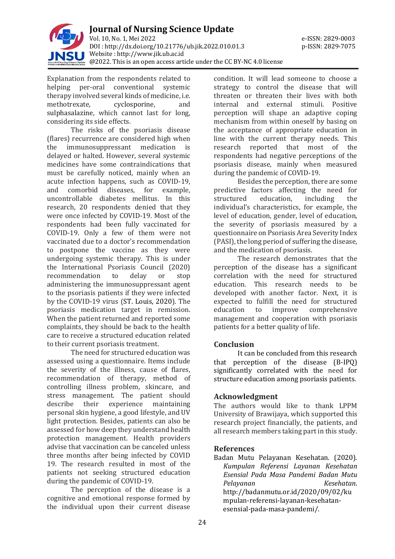

Explanation from the respondents related to helping per-oral conventional systemic therapy involved several kinds of medicine, i.e. methotrexate, cyclosporine, and sulphasalazine, which cannot last for long, considering its side effects.

The risks of the psoriasis disease (flares) recurrence are considered high when the immunosuppressant medication is delayed or halted. However, several systemic medicines have some contraindications that must be carefully noticed, mainly when an acute infection happens, such as COVID-19, and comorbid diseases, for example, uncontrollable diabetes mellitus. In this research, 20 respondents denied that they were once infected by COVID-19. Most of the respondents had been fully vaccinated for COVID-19. Only a few of them were not vaccinated due to a doctor's recommendation to postpone the vaccine as they were undergoing systemic therapy. This is under the International Psoriasis Council (2020) recommendation to delay or stop administering the immunosuppressant agent to the psoriasis patients if they were infected by the COVID-19 virus (ST. Louis, 2020). The psoriasis medication target in remission. When the patient returned and reported some complaints, they should be back to the health care to receive a structured education related to their current psoriasis treatment.

The need for structured education was assessed using a questionnaire. Items include the severity of the illness, cause of flares, recommendation of therapy, method of controlling illness problem, skincare, and stress management. The patient should describe their experience maintaining personal skin hygiene, a good lifestyle, and UV light protection. Besides, patients can also be assessed for how deep they understand health protection management. Health providers advise that vaccination can be canceled unless three months after being infected by COVID 19. The research resulted in most of the patients not seeking structured education during the pandemic of COVID-19.

The perception of the disease is a cognitive and emotional response formed by the individual upon their current disease

condition. It will lead someone to choose a strategy to control the disease that will threaten or threaten their lives with both internal and external stimuli. Positive perception will shape an adaptive coping mechanism from within oneself by basing on the acceptance of appropriate education in line with the current therapy needs. This research reported that most of the respondents had negative perceptions of the psoriasis disease, mainly when measured during the pandemic of COVID-19.

Besides the perception, there are some predictive factors affecting the need for structured education, including the individual's characteristics, for example, the level of education, gender, level of education, the severity of psoriasis measured by a questionnaire on Psoriasis Area Severity Index (PASI), the long period of suffering the disease, and the medication of psoriasis.

The research demonstrates that the perception of the disease has a significant correlation with the need for structured education. This research needs to be developed with another factor. Next, it is expected to fulfill the need for structured education to improve comprehensive management and cooperation with psoriasis patients for a better quality of life.

# **Conclusion**

It can be concluded from this research that perception of the disease (B-IPQ) significantly correlated with the need for structure education among psoriasis patients.

### **Acknowledgment**

The authors would like to thank LPPM University of Brawijaya, which supported this research project financially, the patients, and all research members taking part in this study.

### **References**

Badan Mutu Pelayanan Kesehatan. (2020). *Kumpulan Referensi Layanan Kesehatan Esensial Pada Masa Pandemi Badan Mutu Pelayanan Kesehatan*. [http://badanmutu.or.id/2020/09/02/ku](http://badanmutu.or.id/2020/09/02/kumpulan-referensi-layanan-kesehatan-esensial-pada-masa-pandemi/) [mpulan-referensi-layanan-kesehatan](http://badanmutu.or.id/2020/09/02/kumpulan-referensi-layanan-kesehatan-esensial-pada-masa-pandemi/)[esensial-pada-masa-pandemi/.](http://badanmutu.or.id/2020/09/02/kumpulan-referensi-layanan-kesehatan-esensial-pada-masa-pandemi/)